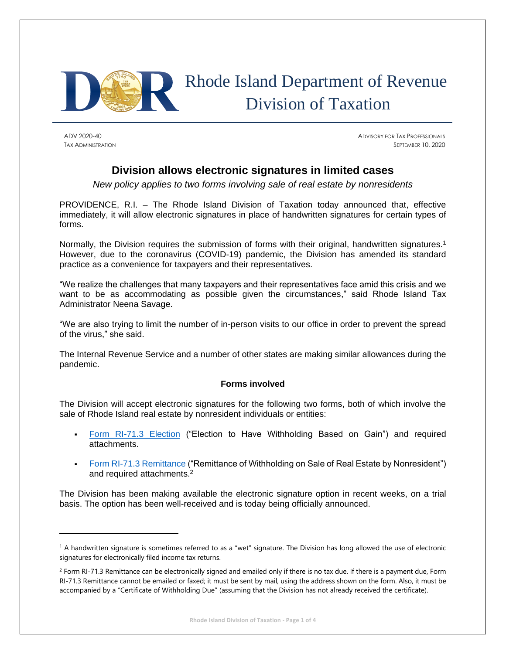

# Rhode Island Department of Revenue Division of Taxation

ADV 2020-40 ADVISORY FOR TAX PROFESSIONALS TAX ADMINISTRATION SEPTEMBER 10, 2020

# **Division allows electronic signatures in limited cases**

*New policy applies to two forms involving sale of real estate by nonresidents*

PROVIDENCE, R.I. – The Rhode Island Division of Taxation today announced that, effective immediately, it will allow electronic signatures in place of handwritten signatures for certain types of forms.

Normally, the Division requires the submission of forms with their original, handwritten signatures.<sup>1</sup> However, due to the coronavirus (COVID-19) pandemic, the Division has amended its standard practice as a convenience for taxpayers and their representatives.

"We realize the challenges that many taxpayers and their representatives face amid this crisis and we want to be as accommodating as possible given the circumstances," said Rhode Island Tax Administrator Neena Savage.

"We are also trying to limit the number of in-person visits to our office in order to prevent the spread of the virus," she said.

The Internal Revenue Service and a number of other states are making similar allowances during the pandemic.

# **Forms involved**

The Division will accept electronic signatures for the following two forms, both of which involve the sale of Rhode Island real estate by nonresident individuals or entities:

- **[Form RI-71.3 Election](http://www.tax.ri.gov/forms/2020/NRREWH/713_ElectionCertCombo_m3.pdf) ("Election to Have Withholding Based on Gain") and required** attachments.
- [Form RI-71.3 Remittance](http://www.tax.ri.gov/forms/2020/NRREWH/713_RemittanceAckCombo_m.pdf) ("Remittance of Withholding on Sale of Real Estate by Nonresident") and required attachments. 2

The Division has been making available the electronic signature option in recent weeks, on a trial basis. The option has been well-received and is today being officially announced.

<sup>&</sup>lt;sup>1</sup> A handwritten signature is sometimes referred to as a "wet" signature. The Division has long allowed the use of electronic signatures for electronically filed income tax returns.

 $2$  Form RI-71.3 Remittance can be electronically signed and emailed only if there is no tax due. If there is a payment due, Form RI-71.3 Remittance cannot be emailed or faxed; it must be sent by mail, using the address shown on the form. Also, it must be accompanied by a "Certificate of Withholding Due" (assuming that the Division has not already received the certificate).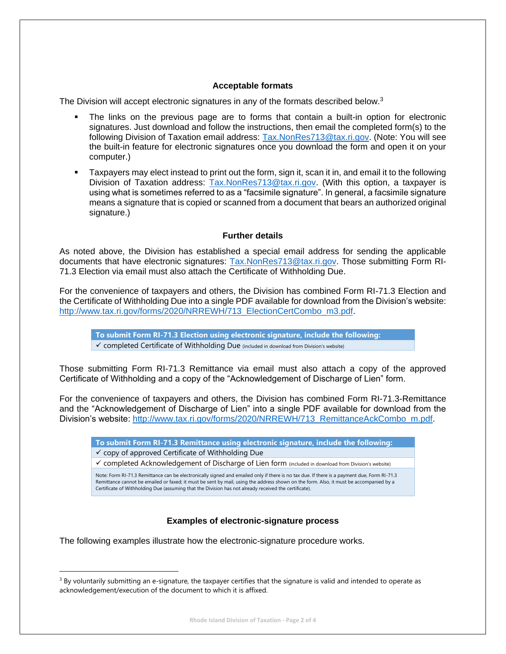# **Acceptable formats**

The Division will accept electronic signatures in any of the formats described below.<sup>3</sup>

- The links on the previous page are to forms that contain a built-in option for electronic signatures. Just download and follow the instructions, then email the completed form(s) to the following Division of Taxation email address: [Tax.NonRes713@tax.ri.gov.](mailto:Tax.NonRes713@tax.ri.gov) (Note: You will see the built-in feature for electronic signatures once you download the form and open it on your computer.)
- Taxpayers may elect instead to print out the form, sign it, scan it in, and email it to the following Division of Taxation address: [Tax.NonRes713@tax.ri.gov.](mailto:Tax.NonRes713@tax.ri.gov) (With this option, a taxpayer is using what is sometimes referred to as a "facsimile signature". In general, a facsimile signature means a signature that is copied or scanned from a document that bears an authorized original signature.)

# **Further details**

As noted above, the Division has established a special email address for sending the applicable documents that have electronic signatures: [Tax.NonRes713@tax.ri.gov.](mailto:Tax.NonRes713@tax.ri.gov) Those submitting Form RI-71.3 Election via email must also attach the Certificate of Withholding Due.

For the convenience of taxpayers and others, the Division has combined Form RI-71.3 Election and the Certificate of Withholding Due into a single PDF available for download from the Division's website: [http://www.tax.ri.gov/forms/2020/NRREWH/713\\_ElectionCertCombo\\_m3.pdf.](http://www.tax.ri.gov/forms/2020/NRREWH/713_ElectionCertCombo_m3.pdf)

**To submit Form RI-71.3 Election using electronic signature, include the following:** ✓ completed Certificate of Withholding Due (included in download from Division's website)

Those submitting Form RI-71.3 Remittance via email must also attach a copy of the approved Certificate of Withholding and a copy of the "Acknowledgement of Discharge of Lien" form.

For the convenience of taxpayers and others, the Division has combined Form RI-71.3-Remittance and the "Acknowledgement of Discharge of Lien" into a single PDF available for download from the Division's website: [http://www.tax.ri.gov/forms/2020/NRREWH/713\\_RemittanceAckCombo\\_m.pdf.](http://www.tax.ri.gov/forms/2020/NRREWH/713_RemittanceAckCombo_m.pdf)

**To submit Form RI-71.3 Remittance using electronic signature, include the following:**  $\checkmark$  copy of approved Certificate of Withholding Due

✓ completed Acknowledgement of Discharge of Lien form (included in download from Division's website)

Note: Form RI-71.3 Remittance can be electronically signed and emailed only if there is no tax due. If there is a payment due, Form RI-71.3 Remittance cannot be emailed or faxed; it must be sent by mail, using the address shown on the form. Also, it must be accompanied by a Certificate of Withholding Due (assuming that the Division has not already received the certificate).

# **Examples of electronic-signature process**

The following examples illustrate how the electronic-signature procedure works.

 $3$  By voluntarily submitting an e-signature, the taxpayer certifies that the signature is valid and intended to operate as acknowledgement/execution of the document to which it is affixed.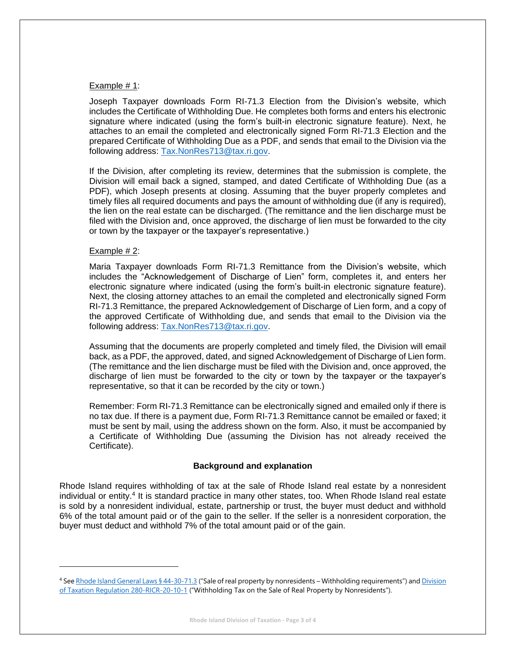# Example # 1:

Joseph Taxpayer downloads Form RI-71.3 Election from the Division's website, which includes the Certificate of Withholding Due. He completes both forms and enters his electronic signature where indicated (using the form's built-in electronic signature feature). Next, he attaches to an email the completed and electronically signed Form RI-71.3 Election and the prepared Certificate of Withholding Due as a PDF, and sends that email to the Division via the following address: [Tax.NonRes713@tax.ri.gov.](mailto:Tax.NonRes713@tax.ri.gov)

If the Division, after completing its review, determines that the submission is complete, the Division will email back a signed, stamped, and dated Certificate of Withholding Due (as a PDF), which Joseph presents at closing. Assuming that the buyer properly completes and timely files all required documents and pays the amount of withholding due (if any is required), the lien on the real estate can be discharged. (The remittance and the lien discharge must be filed with the Division and, once approved, the discharge of lien must be forwarded to the city or town by the taxpayer or the taxpayer's representative.)

#### Example # 2:

Maria Taxpayer downloads Form RI-71.3 Remittance from the Division's website, which includes the "Acknowledgement of Discharge of Lien" form, completes it, and enters her electronic signature where indicated (using the form's built-in electronic signature feature). Next, the closing attorney attaches to an email the completed and electronically signed Form RI-71.3 Remittance, the prepared Acknowledgement of Discharge of Lien form, and a copy of the approved Certificate of Withholding due, and sends that email to the Division via the following address: [Tax.NonRes713@tax.ri.gov.](mailto:Tax.NonRes713@tax.ri.gov)

Assuming that the documents are properly completed and timely filed, the Division will email back, as a PDF, the approved, dated, and signed Acknowledgement of Discharge of Lien form. (The remittance and the lien discharge must be filed with the Division and, once approved, the discharge of lien must be forwarded to the city or town by the taxpayer or the taxpayer's representative, so that it can be recorded by the city or town.)

Remember: Form RI-71.3 Remittance can be electronically signed and emailed only if there is no tax due. If there is a payment due, Form RI-71.3 Remittance cannot be emailed or faxed; it must be sent by mail, using the address shown on the form. Also, it must be accompanied by a Certificate of Withholding Due (assuming the Division has not already received the Certificate).

# **Background and explanation**

Rhode Island requires withholding of tax at the sale of Rhode Island real estate by a nonresident individual or entity.<sup>4</sup> It is standard practice in many other states, too. When Rhode Island real estate is sold by a nonresident individual, estate, partnership or trust, the buyer must deduct and withhold 6% of the total amount paid or of the gain to the seller. If the seller is a nonresident corporation, the buyer must deduct and withhold 7% of the total amount paid or of the gain.

<sup>4</sup> Se[e Rhode Island General Laws § 44-30-71.3](http://webserver.rilin.state.ri.us/Statutes/TITLE44/44-30/44-30-71.3.HTM) ("Sale of real property by nonresidents – Withholding requirements") and Division [of Taxation Regulation 280-RICR-20-10-1](https://risos-apa-production-public.s3.amazonaws.com/DOR/REG_9219_20180806200412.pdf) ("Withholding Tax on the Sale of Real Property by Nonresidents").